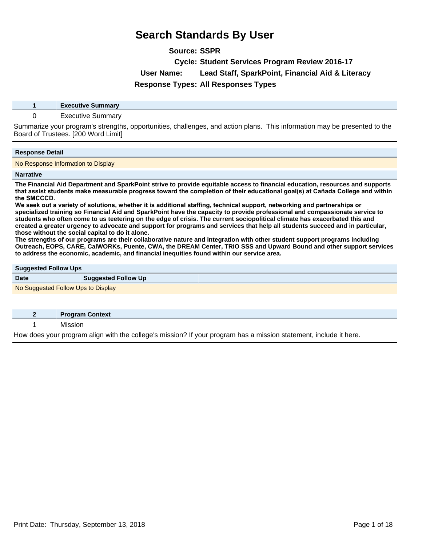**Source: SSPR**

**Cycle: Student Services Program Review 2016-17**

**User Name: Lead Staff, SparkPoint, Financial Aid & Literacy**

**Response Types: All Responses Types**

**1 Executive Summary**

### 0 Executive Summary

Summarize your program's strengths, opportunities, challenges, and action plans. This information may be presented to the Board of Trustees. [200 Word Limit]

### **Response Detail**

No Response Information to Display

### **Narrative**

**The Financial Aid Department and SparkPoint strive to provide equitable access to financial education, resources and supports**  that assist students make measurable progress toward the completion of their educational goal(s) at Cañada College and within the SMCCCD.

We seek out a variety of solutions, whether it is additional staffing, technical support, networking and partnerships or **specialized training so Financial Aid and SparkPoint have the capacity to provide professional and compassionate service to students who often come to us teetering on the edge of crisis. The current sociopolitical climate has exacerbated this and created a greater urgency to advocate and support for programs and services that help all students succeed and in particular, those without the social capital to do it alone.**

**The strengths of our programs are their collaborative nature and integration with other student support programs including Outreach, EOPS, CARE, CalWORKs, Puente, CWA, the DREAM Center, TRiO SSS and Upward Bound and other support services to address the economic, academic, and financial inequities found within our service area.**

### **Suggested Follow Ups**

| ___                                |                            |
|------------------------------------|----------------------------|
| <b>Date</b>                        | <b>Suggested Follow Up</b> |
| No Suggested Follow Ups to Display |                            |

| <b>Program Context</b> |
|------------------------|
|                        |

How does your program align with the college's mission? If your program has a mission statement, include it here.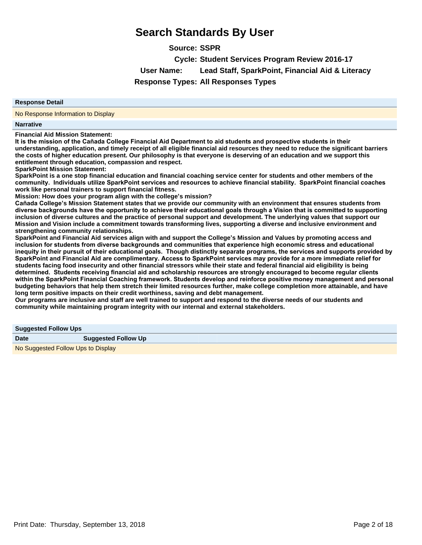**Source: SSPR**

**Cycle: Student Services Program Review 2016-17**

**User Name: Lead Staff, SparkPoint, Financial Aid & Literacy**

# **Response Types: All Responses Types**

### **Response Detail**

No Response Information to Display

### **Narrative**

**Financial Aid Mission Statement:**

It is the mission of the Cañada College Financial Aid Department to aid students and prospective students in their **understanding, application, and timely receipt of all eligible financial aid resources they need to reduce the significant barriers the costs of higher education present. Our philosophy is that everyone is deserving of an education and we support this entitlement through education, compassion and respect.**

**SparkPoint Mission Statement:**

**SparkPoint is a one stop financial education and financial coaching service center for students and other members of the**  community. Individuals utilize SparkPoint services and resources to achieve financial stability. SparkPoint financial coaches **work like personal trainers to support financial fitness.**

**Mission: How does your program align with the college¶s mission?**

Cañada College's Mission Statement states that we provide our community with an environment that ensures students from diverse backgrounds have the opportunity to achieve their educational goals through a Vision that is committed to supporting **inclusion of diverse cultures and the practice of personal support and development. The underlying values that support our Mission and Vision include a commitment towards transforming lives, supporting a diverse and inclusive environment and strengthening community relationships.**

**SparkPoint and Financial Aid services align with and support the College¶s Mission and Values by promoting access and**  inclusion for students from diverse backgrounds and communities that experience high economic stress and educational inequity in their pursuit of their educational goals. Though distinctly separate programs, the services and supports provided by SparkPoint and Financial Aid are complimentary. Access to SparkPoint services may provide for a more immediate relief for **students facing food insecurity and other financial stressors while their state and federal financial aid eligibility is being**  determined. Students receiving financial aid and scholarship resources are strongly encouraged to become regular clients within the SparkPoint Financial Coaching framework. Students develop and reinforce positive money management and personal **budgeting behaviors that help them stretch their limited resources further, make college completion more attainable, and have long term positive impacts on their credit worthiness, saving and debt management.**

**Our programs are inclusive and staff are well trained to support and respond to the diverse needs of our students and community while maintaining program integrity with our internal and external stakeholders.**

| <b>Suggested Follow Ups</b>        |                            |
|------------------------------------|----------------------------|
| <b>Date</b>                        | <b>Suggested Follow Up</b> |
| No Suggested Follow Ups to Display |                            |

Print Date: Thursday, September 13, 2018 Page 2 of 18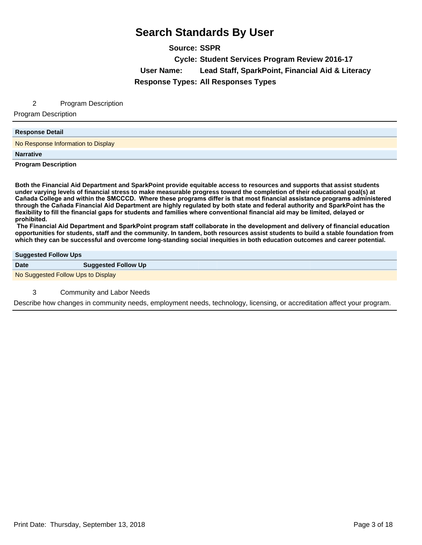**Source: SSPR Cycle: Student Services Program Review 2016-17 User Name: Lead Staff, SparkPoint, Financial Aid & Literacy Response Types: All Responses Types**

### 2 Program Description

Program Description

### **Response Detail**

No Response Information to Display

**Narrative**

**Program Description**

**Both the Financial Aid Department and SparkPoint provide equitable access to resources and supports that assist students under varying levels of financial stress to make measurable progress toward the completion of their educational goal(s) at**  Cañada College and within the SMCCCD. Where these programs differ is that most financial assistance programs administered through the Cañada Financial Aid Department are highly regulated by both state and federal authority and SparkPoint has the flexibility to fill the financial gaps for students and families where conventional financial aid may be limited, delayed or prohibited.

The Financial Aid Department and SparkPoint program staff collaborate in the development and delivery of financial education **opportunities for students, staff and the community. In tandem, both resources assist students to build a stable foundation from which they can be successful and overcome long-standing social inequities in both education outcomes and career potential.**

### **Suggested Follow Ups**

**Date Suggested Follow Up** No Suggested Follow Ups to Display

3 Community and Labor Needs

Describe how changes in community needs, employment needs, technology, licensing, or accreditation affect your program.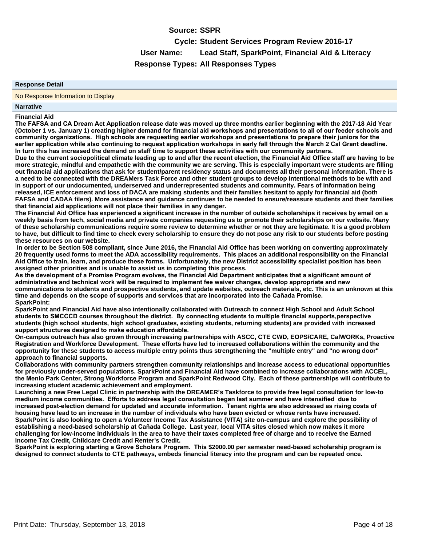# **Source: SSPR**

**Cycle: Student Services Program Review 2016-17 User Name: Lead Staff, SparkPoint, Financial Aid & Literacy Response Types: All Responses Types**

### **Response Detail**

No Response Information to Display

### **Narrative**

### **Financial Aid**

The FAFSA and CA Dream Act Application release date was moved up three months earlier beginning with the 2017-18 Aid Year (October 1 vs. January 1) creating higher demand for financial aid workshops and presentations to all of our feeder schools and community organizations. High schools are requesting earlier workshops and presentations to prepare their juniors for the earlier application while also continuing to request application workshops in early fall through the March 2 Cal Grant deadline. In turn this has increased the demand on staff time to support these activities with our community partners.

Due to the current sociopolitical climate leading up to and after the recent election, the Financial Aid Office staff are having to be **more strategic, mindful and empathetic with the community we are serving. This is especially important were students are filling out financial aid applications that ask for student/parent residency status and documents all their personal information. There is a need to be connected with the DREAMers Task Force and other student groups to develop intentional methods to be with and in support of our undocumented, underserved and underrepresented students and community. Fears of information being released, ICE enforcement and loss of DACA are making students and their families hesitant to apply for financial aid (both FAFSA and CADAA filers). More assistance and guidance continues to be needed to ensure/reassure students and their families that financial aid applications will not place their families in any danger.**

**The Financial Aid Office has experienced a significant increase in the number of outside scholarships it receives by email on a weekly basis from tech, social media and private companies requesting us to promote their scholarships on our website. Many of these scholarship communications require some review to determine whether or not they are legitimate. It is a good problem to have, but difficult to find time to check every scholarship to ensure they do not pose any risk to our students before posting these resources on our website.**

 **In order to be Section 508 compliant, since June 2016, the Financial Aid Office has been working on converting approximately**  20 frequently used forms to meet the ADA accessibility requirements. This places an additional responsibility on the Financial Aid Office to train, learn, and produce these forms. Unfortunately, the new District accessibility specialist position has been **assigned other priorities and is unable to assist us in completing this process.**

As the development of a Promise Program evolves, the Financial Aid Department anticipates that a significant amount of administrative and technical work will be required to implement fee waiver changes, develop appropriate and new **communications to students and prospective students, and update websites, outreach materials, etc. This is an unknown at this**  time and depends on the scope of supports and services that are incorporated into the Cañada Promise. **SparkPoint:**

**SparkPoint and Financial Aid have also intentionally collaborated with Outreach to connect High School and Adult School**  students to SMCCCD courses throughout the district. By connecting students to multiple financial supports, perspective **students (high school students, high school graduates, existing students, returning students) are provided with increased**  support structures designed to make education affordable.

**On-campus outreach has also grown through increasing partnerships with ASCC, CTE CWD, EOPS/CARE, CalWORKs, Proactive**  Registration and Workforce Development. These efforts have led to increased collaborations within the community and the **opportunity for these students to access multiple entry points thus strengthening the "multiple entry" and "no wrong door" approach to financial supports.**

**Collaborations with community partners strengthen community relationships and increase access to educational opportunities for previously under-served populations. SparkPoint and Financial Aid have combined to increase collaborations with ACCEL,**  the Menlo Park Center, Strong Workforce Program and SparkPoint Redwood City. Each of these partnerships will contribute to **increasing student academic achievement and employment.**

Launching a new Free Legal Clinic in partnership with the DREAMER's Taskforce to provide free legal consultation for low-to medium income communities. Efforts to address legal consultation began last summer and have intensified due to increased post-election demand for updated and accurate information. Tenant rights are also addressed as rising costs of housing have lead to an increase in the number of individuals who have been evicted or whose rents have increased. **SparkPoint is also looking to open a Volunteer Income Tax Assistance (VITA) site on-campus and explore the possibility of**  establishing a need-based scholarship at Cañada College. Last year, local VITA sites closed which now makes it more **challenging for low-income individuals in the area to have their taxes completed free of charge and to receive the Earned Income Tax Credit, Childcare Credit and Renter's Credit.**

SparkPoint is exploring starting a Grove Scholars Program. This \$2000.00 per semester need-based scholarship program is **designed to connect students to CTE pathways, embeds financial literacy into the program and can be repeated once.**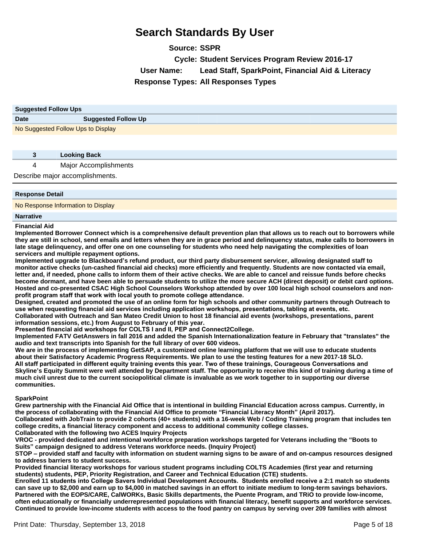**Source: SSPR Cycle: Student Services Program Review 2016-17 User Name: Lead Staff, SparkPoint, Financial Aid & Literacy Response Types: All Responses Types**

| <b>Suggested Follow Ups</b>        |                            |
|------------------------------------|----------------------------|
| <b>Date</b>                        | <b>Suggested Follow Up</b> |
| No Suggested Follow Ups to Display |                            |

| <b>Looking Back</b>             |
|---------------------------------|
| <b>Major Accomplishments</b>    |
| Describe major accomplishments. |

### **Response Detail**

No Response Information to Display

### **Narrative**

**Financial Aid**

**Implemented Borrower Connect which is a comprehensive default prevention plan that allows us to reach out to borrowers while they are still in school, send emails and letters when they are in grace period and delinquency status, make calls to borrowers in late stage delinquency, and offer one on one counseling for students who need help navigating the complexities of loan servicers and multiple repayment options.**

**Implemented upgrade to Blackboard¶s refund product, our third party disbursement servicer, allowing designated staff to monitor active checks (un-cashed financial aid checks) more efficiently and frequently. Students are now contacted via email, letter and, if needed, phone calls to inform them of their active checks. We are able to cancel and reissue funds before checks become dormant, and have been able to persuade students to utilize the more secure ACH (direct deposit) or debit card options. Hosted and co-presented CSAC High School Counselors Workshop attended by over 100 local high school counselors and non**profit program staff that work with local youth to promote college attendance.

**Designed, created and promoted the use of an online form for high schools and other community partners through Outreach to**  use when requesting financial aid services including application workshops, presentations, tabling at events, etc.

**Collaborated with Outreach and San Mateo Credit Union to host 18 financial aid events (workshops, presentations, parent information sessions, etc.) from August to February of this year.**

**Presented financial aid workshops for COLTS I and II, PEP and Connect2College.** 

**Implemented FATV GetAnswers in fall 2016 and added the Spanish Internationalization feature in February that "translates" the audio and text transcripts into Spanish for the full library of over 600 videos.**

**We are in the process of implementing GetSAP, a customized online learning platform that we will use to educate students about their Satisfactory Academic Progress Requirements. We plan to use the testing features for a new 2017-18 SLO.** All staff participated in different equity training events this year. Two of these trainings, Courageous Conversations and Skyline's Equity Summit were well attended by Department staff. The opportunity to receive this kind of training during a time of **much civil unrest due to the current sociopolitical climate is invaluable as we work together to in supporting our diverse communities.**

### **SparkPoint**

**Grew partnership with the Financial Aid Office that is intentional in building Financial Education across campus. Currently, in the process of collaborating with the Financial Aid Office to promote ³Financial Literacy Month´(April 2017). Collaborated with JobTrain to provide 2 cohorts (40+ students) with a 16-week Web / Coding Training program that includes ten college credits, a financial literacy component and access to additional community college classes.**

**Collaborated with the following two ACES Inquiry Projects**

**VROC - provided dedicated and intentional workforce preparation workshops targeted for Veterans including the "Boots to Suits´campaign designed to address Veterans workforce needs. (Inquiry Project)**

STOP – provided staff and faculty with information on student warning signs to be aware of and on-campus resources designed **to address barriers to student success.**

**Provided financial literacy workshops for various student programs including COLTS Academies (first year and returning students) students, PEP, Priority Registration, and Career and Technical Education (CTE) students.**

Enrolled 11 students into College Savers Individual Development Accounts. Students enrolled receive a 2:1 match so students **can save up to \$2,000 and earn up to \$4,000 in matched savings in an effort to initiate medium to long-term savings behaviors. Partnered with the EOPS/CARE, CalWORKs, Basic Skills departments, the Puente Program, and TRiO to provide low-income, often educationally or financially underrepresented populations with financial literacy, benefit supports and workforce services. Continued to provide low-income students with access to the food pantry on campus by serving over 209 families with almost**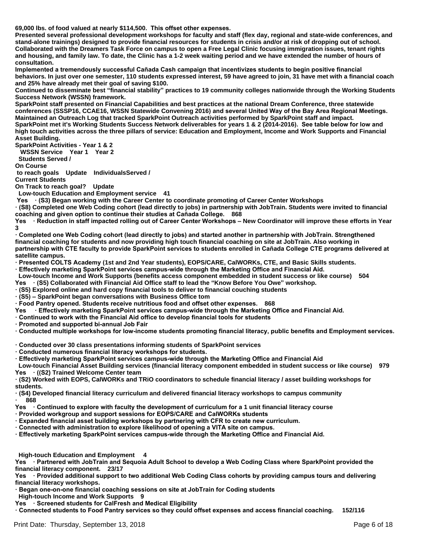69,000 lbs. of food valued at nearly \$114,500. This offset other expenses.

**Presented several professional development workshops for faculty and staff (flex day, regional and state-wide conferences, and stand-alone trainings) designed to provide financial resources for students in crisis and/or at risk of dropping out of school. Collaborated with the Dreamers Task Force on campus to open a Free Legal Clinic focusing immigration issues, tenant rights and housing, and family law. To date, the Clinic has a 1-2 week waiting period and we have extended the number of hours of consultation.**

Implemented a tremendously successful Cañada Cash campaign that incentivizes students to begin positive financial **behaviors. In just over one semester, 110 students expressed interest, 59 have agreed to join, 31 have met with a financial coach and 25% have already met their goal of saving \$100.**

**Continued to disseminate best ³financial stability´practices to 19 community colleges nationwide through the Working Students Success Network (WSSN) framework.**

**SparkPoint staff presented on Financial Capabilities and best practices at the national Dream Conference, three statewide**  conferences (SSSP16, CCAE16, WSSN Statewide Convening 2016) and several United Way of the Bay Area Regional Meetings. **Maintained an Outreach Log that tracked SparkPoint Outreach activities performed by SparkPoint staff and impact.** SparkPoint met it's Working Students Success Network deliverables for years 1 & 2 (2014-2016). See table below for low and **high touch activities across the three pillars of service: Education and Employment, Income and Work Supports and Financial Asset Building.**

**SparkPoint Activities - Year 1 & 2**

 **WSSN Service Year 1 Year 2** 

 **Students Served /** 

**On Course**

 **to reach goals Update IndividualsServed / Current Students** 

**On Track to reach goal? Update** 

 **Low-touch Education and Employment service 41**

Yes (S3) Began working with the Career Center to coordinate promoting of Career Center Workshops

**ā68) Completed one Web Coding cohort (lead directly to jobs) in partnership with JobTrain. Students were invited to financial EXALGIBIARY COMBIG CONSTRANGIST AND THE CONSTRANGE CONSTRANGE CONSTRANGE CONSTRANGE CONSTRANGE CONSTRANGE CONSTRANGE CONSTRANGE CONSTRANGE CONSTRANGE CONSTRANGE CONSTRANGE CONSTRANGE CONSTRANGE CONSTRANGE CONSTRANGE CONST** 

Yes • Reduction in staff impacted rolling out of Career Center Workshops – New Coordinator will improve these efforts in Year **3**

· Completed one Web Coding cohort (lead directly to jobs) and started another in partnership with JobTrain. Strengthened **financial coaching for students and now providing high touch financial coaching on site at JobTrain. Also working in**  partnership with CTE faculty to provide SparkPoint services to students enrolled in Cañada College CTE programs delivered at **satellite campus.** 

 $\cdot$  Presented COLTS Academy (1st and 2nd Year students), EOPS/CARE, CalWORKs, CTE, and Basic Skills students.

**Effectively marketing SparkPoint services campus-wide through the Marketing Office and Financial Aid. Low-touch Income and Work Supports (benefits access component embedded in student success or like course) 504**

Yes (S5) Collaborated with Financial Aid Office staff to lead the "Know Before You Owe" workshop.

**ā65) Explored online and hard copy financial tools to deliver to financial couching students** 

**ā65±SparkPoint began conversations with Business Office tom** 

**field Pantry opened. Students receive nutritious food and offset other expenses. 868** 

Yes • Effectively marketing SparkPoint services campus-wide through the Marketing Office and Financial Aid.

**Experience 10 above 1 or Vietnal Adda Controlled Constrainer in School and Tennism** Construction School and Tenni<br>
Represent to North Adda Construction Construction Construction Construction Construction Construction Cons

**Promoted and supported bi-annual Job Fair** 

 $\cdot$  Conducted multiple workshops for low-income students promoting financial literacy, public benefits and Employment services.

**ā&RQGXFWHGRYHU30 class presentations informing students of SparkPoint services** 

 $\cdot$  Conducted numerous financial literacy workshops for students.

**Effectively marketing SparkPoint services campus-wide through the Marketing Office and Financial Aid** 

 **Low-touch Financial Asset Building services (financial literacy component embedded in student success or like course) 979** Yes ((S2) Trained Welcome Center team

**ā62) Worked with EOPS, CalWORKs and TRiO coordinators to schedule financial literacy / asset building workshops for students.** 

**ā64) Developed financial literacy curriculum and delivered financial literacy workshops to campus community ā868**

Yes • Continued to explore with faculty the development of curriculum for a 1 unit financial literacy course

**Provided workgroup and support sessions for EOPS/CARE and CalWORKs students** 

**Expanded financial asset building workshops by partnering with CFR to create new curriculum.** 

 $\cdot$  Connected with administration to explore likelihood of opening a VITA site on campus.

**Effectively marketing SparkPoint services campus-wide through the Marketing Office and Financial Aid.** 

 **High-touch Education and Employment 4**

Yes • Partnered with JobTrain and Sequoia Adult School to develop a Web Coding Class where SparkPoint provided the **financial literacy component. 23/17** 

Yes • Provided additional support to two additional Web Coding Class cohorts by providing campus tours and delivering **financial literacy workshops.** 

· Began one-on-one financial coaching sessions on site at JobTrain for Coding students

 **High-touch Income and Work Supports 9**

Yes • Screened students for CalFresh and Medical Eligibility

**Example Connected students to Food Pantry services so they could offset expenses and access financial coaching. 152/116**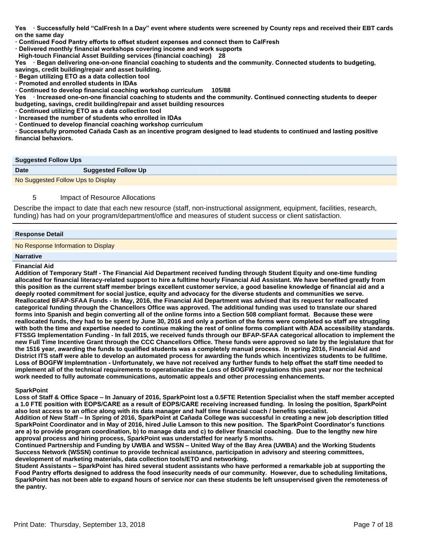Yes • Successfully held "CalFresh In a Day" event where students were screened by County reps and received their EBT cards **on the same day** 

- **Exambled Food Pantry efforts to offset student expenses and connect them to CalFresh**
- **Example Unionenty Dimandal Workshops covering income and work supports**
- **High-touch Financial Asset Building services (financial coaching) 28**

Yes • Began delivering one-on-one financial coaching to students and the community. Connected students to budgeting,

- **savings, credit building/repair and asset building.**
- **· Began utilizing ETO as a data collection tool**
- **· Promoted and enrolled students in IDAs**
- **Example 10 Search 20 Islams** Coaching workshop curriculum 105/88

Yes • Increased one-on-one financial coaching to students and the community. Continued connecting students to deeper **budgeting, savings, credit building/repair and asset building resources** 

- **f** Continued utilizing ETO as a data collection tool
- $\cdot$  Increased the number of students who enrolled in IDAs
- **Example 3** Continued to develop financial coaching workshop curriculum

 $\cdot$  Successfully promoted Cañada Cash as an incentive program designed to lead students to continued and lasting positive **financial behaviors.** 

### **Suggested Follow Ups**

| <b>Date</b> | <b>Suggested Follow Up</b>         |
|-------------|------------------------------------|
|             | No Suggested Follow Ups to Display |

### 5 Impact of Resource Allocations

Describe the impact to date that each new resource (staff, non-instructional assignment, equipment, facilities, research, funding) has had on your program/department/office and measures of student success or client satisfaction.

### **Response Detail**

No Response Information to Display

### **Narrative**

### **Financial Aid**

**Addition of Temporary Staff - The Financial Aid Department received funding through Student Equity and one-time funding allocated for financial literacy-related support to hire a fulltime hourly Financial Aid Assistant. We have benefited greatly from**  this position as the current staff member brings excellent customer service, a good baseline knowledge of financial aid and a deeply rooted commitment for social justice, equity and advocacy for the diverse students and communities we serve. **Reallocated BFAP-SFAA Funds - In May, 2016, the Financial Aid Department was advised that its request for reallocated categorical funding through the Chancellors Office was approved. The additional funding was used to translate our shared**  forms into Spanish and begin converting all of the online forms into a Section 508 compliant format. Because these were reallocated funds, they had to be spent by June 30, 2016 and only a portion of the forms were completed so staff are struggling with both the time and expertise needed to continue making the rest of online forms compliant with ADA accessibility standards. **FTSSG Implementation Funding - In fall 2015, we received funds through our BFAP-SFAA categorical allocation to implement the new Full Time Incentive Grant through the CCC Chancellors Office. These funds were approved so late by the legislature that for**  the 1516 year, awarding the funds to qualified students was a completely manual process. In spring 2016, Financial Aid and **District ITS staff were able to develop an automated process for awarding the funds which incentivizes students to be fulltime.** Loss of BOGFW Implemtnation - Unfortunately, we have not received any further funds to help offset the staff time needed to **implement all of the technical requirements to operationalize the Loss of BOGFW regulations this past year nor the technical work needed to fully automate communications, automatic appeals and other processing enhancements.**

### **SparkPoint**

**Loss of Staff & Office Space ±In January of 2016, SparkPoint lost a 0.5FTE Retention Specialist when the staff member accepted**  a 1.0 FTE position with EOPS/CARE as a result of EOPS/CARE receiving increased funding. In losing the position, SparkPoint **also lost access to an office along with its data manager and half time financial coach / benefits specialist.**

Addition of New Staff – In Spring of 2016, SparkPoint at Cañada College was successful in creating a new job description titled SparkPoint Coordinator and in May of 2016, hired Julie Lamson to this new position. The SparkPoint Coordinator's functions are a) to provide program coordination, b) to manage data and c) to deliver financial coaching. Due to the lengthy new hire **approval process and hiring process, SparkPoint was understaffed for nearly 5 months.**

Continued Partnership and Funding by UWBA and WSSN – United Way of the Bay Area (UWBA) and the Working Students **Success Network (WSSN) continue to provide technical assistance, participation in advisory and steering committees, development of marketing materials, data collection tools/ETO and networking.**

**Student Assistants ±SparkPoint has hired several student assistants who have performed a remarkable job at supporting the**  Food Pantry efforts designed to address the food insecurity needs of our community. However, due to scheduling limitations, **SparkPoint has not been able to expand hours of service nor can these students be left unsupervised given the remoteness of the pantry.**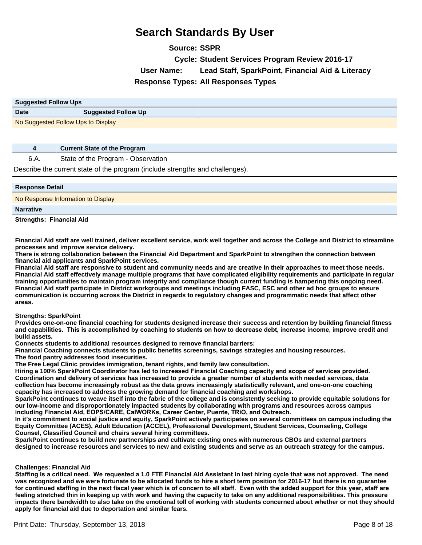**Source: SSPR Cycle: Student Services Program Review 2016-17 User Name: Lead Staff, SparkPoint, Financial Aid & Literacy Response Types: All Responses Types**

| <b>Suggested Follow Ups</b>        |                            |
|------------------------------------|----------------------------|
| <b>Date</b>                        | <b>Suggested Follow Up</b> |
| No Suggested Follow Ups to Display |                            |

### **4 Current State of the Program**

### 6.A. State of the Program - Observation

Describe the current state of the program (include strengths and challenges).

| <b>Response Detail</b>             |
|------------------------------------|
| No Response Information to Display |
| <b>Narrative</b>                   |
| <b>Strengths: Financial Aid</b>    |

**Financial Aid staff are well trained, deliver excellent service, work well together and across the College and District to streamline processes and improve service delivery.**

**There is strong collaboration between the Financial Aid Department and SparkPoint to strengthen the connection between financial aid applicants and SparkPoint services.**

**Financial Aid staff are responsive to student and community needs and are creative in their approaches to meet those needs. Financial Aid staff effectively manage multiple programs that have complicated eligibility requirements and participate in regular training opportunities to maintain program integrity and compliance though current funding is hampering this ongoing need. Financial Aid staff participate in District workgroups and meetings including FASC, ESC and other ad hoc groups to ensure communication is occurring across the District in regards to regulatory changes and programmatic needs that affect other areas.**

### **Strengths: SparkPoint**

**Provides one-on-one financial coaching for students designed increase their success and retention by building financial fitness**  and capabilities. This is accomplished by coaching to students on how to decrease debt, increase income, improve credit and **build assets.**

**Connects students to additional resources designed to remove financial barriers:**

**Financial Coaching connects students to public benefits screenings, savings strategies and housing resources.**

**The food pantry addresses food insecurities.** 

**The Free Legal Clinic provides immigration, tenant rights, and family law consultation.**

Hiring a 100% SparkPoint Coordinator has led to increased Financial Coaching capacity and scope of services provided. **Coordination and delivery of services has increased to provide a greater number of students with needed services, data collection has become increasingly robust as the data grows increasingly statistically relevant, and one-on-one coaching capacity has increased to address the growing demand for financial coaching and workshops.** 

**SparkPoint continues to weave itself into the fabric of the college and is consistently seeking to provide equitable solutions for our low-income and disproportionately impacted students by collaborating with programs and resources across campus**  including Financial Aid, EOPS/CARE, CalWORKs, Career Center, Puente, TRiO, and Outreach.

**In it¶s commitment to social justice and equity, SparkPoint actively participates on several committees on campus including the Equity Committee (ACES), Adult Education (ACCEL), Professional Development, Student Services, Counseling, College**  Counsel, Classified Council and chairs several hiring committees.

**SparkPoint continues to build new partnerships and cultivate existing ones with numerous CBOs and external partners designed to increase resources and services to new and existing students and serve as an outreach strategy for the campus.**

### **Challenges: Financial Aid**

**Staffing is a critical need. We requested a 1.0 FTE Financial Aid Assistant in last hiring cycle that was not approved. The need was recognized and we were fortunate to be allocated funds to hire a short term position for 2016-17 but there is no guarantee**  for continued staffing in the next fiscal year which is of concern to all staff. Even with the added support for this year, staff are **feeling stretched thin in keeping up with work and having the capacity to take on any additional responsibilities. This pressure impacts there bandwidth to also take on the emotional toll of working with students concerned about whether or not they should apply for financial aid due to deportation and similar fears.**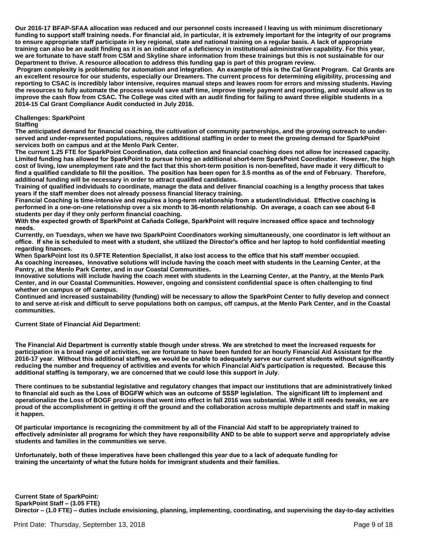**Our 2016-17 BFAP-SFAA allocation was reduced and our personnel costs increased l leaving us with minimum discretionary**  funding to support staff training needs. For financial aid, in particular, it is extremely important for the integrity of our programs **to ensure appropriate staff participate in key regional, state and national training on a regular basis. A lack of appropriate training can also be an audit finding as it is an indicator of a deficiency in institutional administrative capability. For this year, we are fortunate to have staff from CSM and Skyline share information from these trainings but this is not sustainable for our Department to thrive. A resource allocation to address this funding gap is part of this program review.**

Program complexity is problematic for automation and integration. An example of this is the Cal Grant Program. Cal Grants are **an excellent resource for our students, especially our Dreamers. The current process for determining eligibility, processing and reporting to CSAC is incredibly labor intensive, requires manual steps and leaves room for errors and missing students. Having the resources to fully automate the process would save staff time, improve timely payment and reporting, and would allow us to improve the cash flow from CSAC. The College was cited with an audit finding for failing to award three eligible students in a 2014-15 Cal Grant Compliance Audit conducted in July 2016.**

### **Challenges: SparkPoint**

**Staffing** 

**The anticipated demand for financial coaching, the cultivation of community partnerships, and the growing outreach to underserved and under-represented populations, requires additional staffing in order to meet the growing demand for SparkPoint services both on campus and at the Menlo Park Center.** 

**The current 1.25 FTE for SparkPoint Coordination, data collection and financial coaching does not allow for increased capacity.** Limited funding has allowed for SparkPoint to pursue hiring an additional short-term SparkPoint Coordinator. However, the high **cost of living, low unemployment rate and the fact that this short-term position is non-benefited, have made it very difficult to**  find a qualified candidate to fill the position. The position has been open for 3.5 months as of the end of February. Therefore, **additional funding will be necessary in order to attract qualified candidates.**

**Training of qualified individuals to coordinate, manage the data and deliver financial coaching is a lengthy process that takes years if the staff member does not already possess financial literacy training.**

Financial Coaching is time-intensive and requires a long-term relationship from a student/individual. Effective coaching is **performed in a one-on-one relationship over a six month to 36-month relationship. On average, a coach can see about 6-8 students per day if they only perform financial coaching.**

With the expected growth of SparkPoint at Cañada College, SparkPoint will require increased office space and technology needs.

**Currently, on Tuesdays, when we have two SparkPoint Coordinators working simultaneously, one coordinator is left without an**  office. If she is scheduled to meet with a student, she utilized the Director's office and her laptop to hold confidential meeting **regarding finances.**

When SparkPoint lost its 0.5FTE Retention Specialist, it also lost access to the office that his staff member occupied. As coaching increases, Innovative solutions will include having the coach meet with students in the Learning Center, at the **Pantry, at the Menlo Park Center, and in our Coastal Communities.**

**Innovative solutions will include having the coach meet with students in the Learning Center, at the Pantry, at the Menlo Park Center, and in our Coastal Communities. However, ongoing and consistent confidential space is often challenging to find whether on campus or off campus.**

**Continued and increased sustainability (funding) will be necessary to allow the SparkPoint Center to fully develop and connect to and serve at-risk and difficult to serve populations both on campus, off campus, at the Menlo Park Center, and in the Coastal communities.**

**Current State of Financial Aid Department:**

The Financial Aid Department is currently stable though under stress. We are stretched to meet the increased requests for **participation in a broad range of activities, we are fortunate to have been funded for an hourly Financial Aid Assistant for the**  2016-17 year. Without this additional staffing, we would be unable to adequately serve our current students without significantly reducing the number and frequency of activities and events for which Financial Aid's participation is requested. Because this additional staffing is temporary, we are concerned that we could lose this support in July.

**There continues to be substantial legislative and regulatory changes that impact our institutions that are administratively linked**  to financial aid such as the Loss of BOGFW which was an outcome of SSSP legislation. The significant lift to implement and **operationalize the Loss of BOGF provisions that went into effect in fall 2016 was substantial. While it still needs tweaks, we are proud of the accomplishment in getting it off the ground and the collaboration across multiple departments and staff in making it happen.** 

**Of particular importance is recognizing the commitment by all of the Financial Aid staff to be appropriately trained to**  effectively administer all programs for which they have responsibility AND to be able to support serve and appropriately advise **students and families in the communities we serve.**

Unfortunately, both of these imperatives have been challenged this year due to a lack of adequate funding for training the uncertainty of what the future holds for immigrant students and their families.

**Current State of SparkPoint: SparkPoint Staff - (3.05 FTE) Director ±1.0 FTE) ±duties include envisioning, planning, implementing, coordinating, and supervising the day-to-day activities**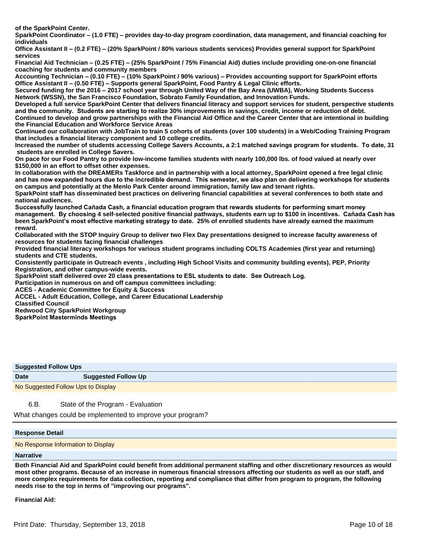**of the SparkPoint Center.** 

**SparkPoint Coordinator ±1.0 FTE) ±provides day-to-day program coordination, data management, and financial coaching for individuals**

**Office Assistant II ±0.2 FTE) ±20% SparkPoint / 80% various students services) Provides general support for SparkPoint services** 

**Financial Aid Technician – (0.25 FTE) – (25% SparkPoint / 75% Financial Aid) duties include providing one-on-one financial coaching for students and community members**

**Accounting Technician ±0.10 FTE) ±10% SparkPoint / 90% various) ±Provides accounting support for SparkPoint efforts Office Assistant II ±0.50 FTE) ±Supports general SparkPoint, Food Pantry & Legal Clinic efforts.** 

**Secured funding for the 2016±2017 school year through United Way of the Bay Area (UWBA), Working Students Success Network (WSSN), the San Francisco Foundation, Sobrato Family Foundation, and Innovation Funds.**

**Developed a full service SparkPoint Center that delivers financial literacy and support services for student, perspective students**  and the community. Students are starting to realize 30% improvements in savings, credit, income or reduction of debt. **Continued to develop and grow partnerships with the Financial Aid Office and the Career Center that are intentional in building the Financial Education and Workforce Service Areas**

**Continued our collaboration with JobTrain to train 5 cohorts of students (over 100 students) in a Web/Coding Training Program that includes a financial literacy component and 10 college credits.**

Increased the number of students accessing College Savers Accounts, a 2:1 matched savings program for students. To date, 31  **students are enrolled in College Savers.**

**On pace for our Food Pantry to provide low-income families students with nearly 100,000 lbs. of food valued at nearly over \$150,000 in an effort to offset other expenses.**

**In collaboration with the DREAMERs Taskforce and in partnership with a local attorney, SparkPoint opened a free legal clinic**  and has now expanded hours due to the incredible demand. This semester, we also plan on delivering workshops for students **on campus and potentially at the Menlo Park Center around immigration, family law and tenant rights.**

**SparkPoint staff has disseminated best practices on delivering financial capabilities at several conferences to both state and national audiences.** 

Successfully launched Cañada Cash, a financial education program that rewards students for performing smart money **management. By choosing 4 self-selected positive financial pathways, students earn up to \$100 in incentives. Cañada Cash has been SparkPoint's most effective marketing strategy to date. 25% of enrolled students have already earned the maximum reward.**

**Collaborated with the STOP Inquiry Group to deliver two Flex Day presentations designed to increase faculty awareness of resources for students facing financial challenges**

**Provided financial literacy workshops for various student programs including COLTS Academies (first year and returning) students and CTE students.**

**Consistently participate in Outreach events , including High School Visits and community building events), PEP, Priority Registration, and other campus-wide events.**

SparkPoint staff delivered over 20 class presentations to ESL students to date. See Outreach Log.

**Participation in numerous on and off campus committees including:** 

**ACES - Academic Committee for Equity & Success** 

**ACCEL - Adult Education, College, and Career Educational Leadership** 

**Classified Council** 

**Redwood City SparkPoint Workgroup**

**SparkPoint Masterminds Meetings** 

| <b>Suggested Follow Ups</b> |                            |
|-----------------------------|----------------------------|
| <b>Date</b>                 | <b>Suggested Follow Up</b> |
|                             |                            |

No Suggested Follow Ups to Display

6.B. State of the Program - Evaluation

What changes could be implemented to improve your program?

### **Response Detail**

No Response Information to Display

### **Narrative**

**Both Financial Aid and SparkPoint could benefit from additional permanent staffing and other discretionary resources as would most other programs. Because of an increase in numerous financial stressors affecting our students as well as our staff, and more complex requirements for data collection, reporting and compliance that differ from program to program, the following needs rise to the top in terms of "improving our programs".**

**Financial Aid:**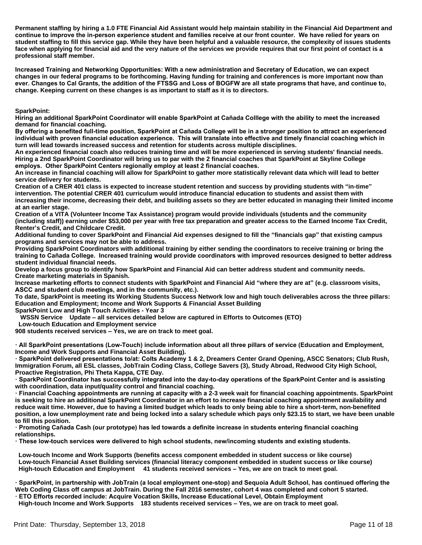**Permanent staffing by hiring a 1.0 FTE Financial Aid Assistant would help maintain stability in the Financial Aid Department and**  continue to improve the in-person experience student and families receive at our front counter. We have relied for years on **student staffing to fill this service gap. While they have been helpful and a valuable resource, the complexity of issues students face when applying for financial aid and the very nature of the services we provide requires that our first point of contact is a professional staff member.**

Increased Training and Networking Opportunities: With a new administration and Secretary of Education, we can expect **changes in our federal programs to be forthcoming. Having funding for training and conferences is more important now than**  ever. Changes to Cal Grants, the addition of the FTSSG and Loss of BOGFW are all state programs that have, and continue to, **change. Keeping current on these changes is as important to staff as it is to directors.**

**SparkPoint:**

Hiring an additional SparkPoint Coordinator will enable SparkPoint at Cañada Colllege with the ability to meet the increased **demand for financial coaching.**

By offering a benefited full-time position, SparkPoint at Cañada College will be in a stronger position to attract an experienced Individual with proven financial education experience. This will translate into effective and timely financial coaching which in **turn will lead towards increased success and retention for students across multiple disciplines.**

**An experienced financial coach also reduces training time and will be more experienced in serving students' financial needs. Hiring a 2nd SparkPoint Coordinator will bring us to par with the 2 financial coaches that SparkPoint at Skyline College**  employs. Other SparkPoint Centers regionally employ at least 2 financial coaches.

**An increase in financial coaching will allow for SparkPoint to gather more statistically relevant data which will lead to better service delivery for students.**

**Creation of a CRER 401 class is expected to increase student retention and success by providing students with "in-time" intervention. The potential CRER 401 curriculum would introduce financial education to students and assist them with increasing their income, decreasing their debt, and building assets so they are better educated in managing their limited income at an earlier stage.**

**Creation of a VITA (Volunteer Income Tax Assistance) program would provide individuals (students and the community (including staff)) earning under \$53,000 per year with free tax preparation and greater access to the Earned Income Tax Credit, Renter¶s Credit, and Childcare Credit.**

**Additional funding to cover SparkPoint and Financial Aid expenses designed to fill the ³financials gap´that existing campus programs and services may not be able to address.** 

**Providing SparkPoint Coordinators with additional training by either sending the coordinators to receive training or bring the**  training to Cañada College. Increased training would provide coordinators with improved resources designed to better address **student individual financial needs.**

**Develop a focus group to identify how SparkPoint and Financial Aid can better address student and community needs. Create marketing materials in Spanish.** 

**Increase marketing efforts to connect students with SparkPoint and Financial Aid ³where they are at´(e.g. classroom visits,**  ASCC and student club meetings, and in the community, etc.).

**To date, SparkPoint is meeting its Working Students Success Network low and high touch deliverables across the three pillars: Education and Employment; Income and Work Supports & Financial Asset Building**

**SparkPoint Low and High Touch Activities - Year 3**

 **WSSN Service Update ±all services detailed below are captured in Efforts to Outcomes (ETO)** 

 **Low-touch Education and Employment service** 

**908 students received services ±Yes, we are on track to meet goal.** 

· All SparkPoint presentations (Low-Touch) include information about all three pillars of service (Education and Employment, **Income and Work Supports and Financial Asset Building).** 

**· SparkPoint delivered presentations to/at: Colts Academy 1 & 2, Dreamers Center Grand Opening, ASCC Senators; Club Rush, Immigration Forum, all ESL classes, JobTrain Coding Class, College Savers (3), Study Abroad, Redwood City High School, Proactive Registration, Phi Theta Kappa, CTE Day.** 

**SparkPoint Coordinator has successfully integrated into the day-to-day operations of the SparkPoint Center and is assisting Gradity with coordination, data input/quality control and financial coaching.** 

**Financial Coaching appointments are running at capacity with a 2-3 week wait for financial coaching appointments. SparkPoint is seeking to hire an additional SparkPoint Coordinator in an effort to increase financial coaching appointment availability and reduce wait time. However, due to having a limited budget which leads to only being able to hire a short-term, non-benefited position, a low unemployment rate and being locked into a salary schedule which pays only \$23.15 to start, we have been unable to fill this position.** 

· Promoting Cañada Cash (our prototype) has led towards a definite increase in students entering financial coaching **relationships.** 

These low-touch services were delivered to high school students, new/incoming students and existing students.

 **Low-touch Income and Work Supports (benefits access component embedded in student success or like course) Low-touch Financial Asset Building services (financial literacy component embedded in student success or like course) High-touch Education and Employment** 41 students received services – Yes, we are on track to meet goal.

· SparkPoint, in partnership with JobTrain (a local employment one-stop) and Sequoia Adult School, has continued offering the **Web Coding Class off campus at JobTrain. During the Fall 2016 semester, cohort 4 was completed and cohort 5 started.** 

**ETO Efforts recorded include: Acquire Vocation Skills, Increase Educational Level, Obtain Employment** High-touch Income and Work Supports 183 students received services - Yes, we are on track to meet goal.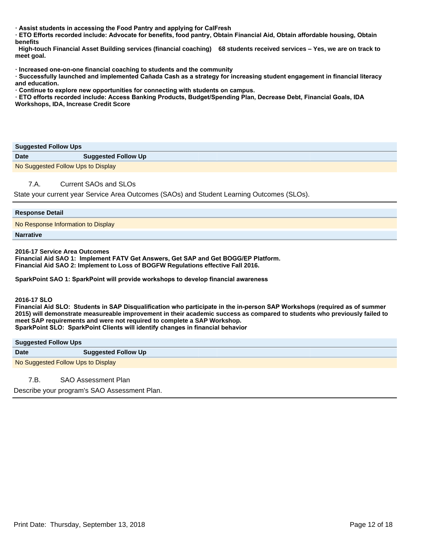**Example is Students in accessing the Food Pantry and applying for CalFresh** 

**ETO Efforts recorded include: Advocate for benefits, food pantry, Obtain Financial Aid, Obtain affordable housing, Obtain benefits** 

 **High-touch Financial Asset Building services (financial coaching) 68 students received services ±Yes, we are on track to meet goal.** 

 $\cdot$  Increased one-on-one financial coaching to students and the community

**·** Successfully launched and implemented Cañada Cash as a strategy for increasing student engagement in financial literacy **and education.** 

 $\cdot$  Continue to explore new opportunities for connecting with students on campus.

**ETO efforts recorded include: Access Banking Products, Budget/Spending Plan, Decrease Debt, Financial Goals, IDA Workshops, IDA, Increase Credit Score** 

### **Suggested Follow Ups**

| <u>enggeenen som en epie</u>       |                            |
|------------------------------------|----------------------------|
| <b>Date</b>                        | <b>Suggested Follow Up</b> |
| No Suggested Follow Ups to Display |                            |

### 7.A. Current SAOs and SLOs

State your current year Service Area Outcomes (SAOs) and Student Learning Outcomes (SLOs).

| <b>Response Detail</b>             |
|------------------------------------|
| No Response Information to Display |
| <b>Narrative</b>                   |

**2016-17 Service Area Outcomes**

**Financial Aid SAO 1: Implement FATV Get Answers, Get SAP and Get BOGG/EP Platform. Financial Aid SAO 2: Implement to Loss of BOGFW Regulations effective Fall 2016.** 

**SparkPoint SAO 1: SparkPoint will provide workshops to develop financial awareness** 

**2016-176/2**

Financial Aid SLO: Students in SAP Disqualification who participate in the in-person SAP Workshops (required as of summer **2015) will demonstrate measureable improvement in their academic success as compared to students who previously failed to meet SAP requirements and were not required to complete a SAP Workshop. SparkPoint SLO: SparkPoint Clients will identify changes in financial behavior** 

**Suggested Follow Ups**

| <b>Date</b> | <b>Suggested Follow Up</b>         |  |
|-------------|------------------------------------|--|
|             | No Suggested Follow Ups to Display |  |

7.B. SAO Assessment Plan

Describe your program's SAO Assessment Plan.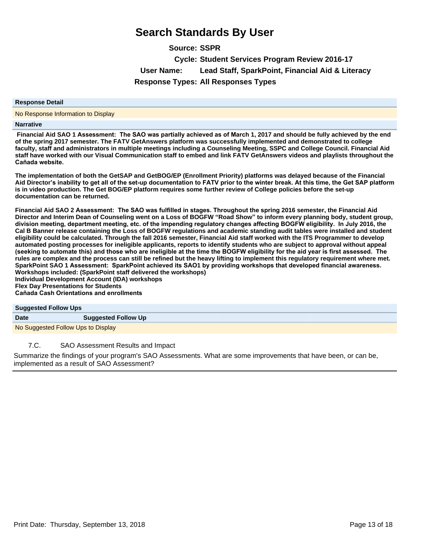**Source: SSPR Cycle: Student Services Program Review 2016-17 User Name: Lead Staff, SparkPoint, Financial Aid & Literacy Response Types: All Responses Types**

### **Response Detail**

No Response Information to Display

### **Narrative**

Financial Aid SAO 1 Assessment: The SAO was partially achieved as of March 1, 2017 and should be fully achieved by the end **of the spring 2017 semester. The FATV GetAnswers platform was successfully implemented and demonstrated to college faculty, staff and administrators in multiple meetings including a Counseling Meeting, SSPC and College Council. Financial Aid**  staff have worked with our Visual Communication staff to embed and link FATV GetAnswers videos and playlists throughout the Cañada website.

**The implementation of both the GetSAP and GetBOG/EP (Enrollment Priority) platforms was delayed because of the Financial**  Aid Director's inability to get all of the set-up documentation to FATV prior to the winter break. At this time, the Get SAP platform **is in video production. The Get BOG/EP platform requires some further review of College policies before the set-up documentation can be returned.**

Financial Aid SAO 2 Assessment: The SAO was fulfilled in stages. Throughout the spring 2016 semester, the Financial Aid **Director and Interim Dean of Counseling went on a Loss of BOGFW ³Road Show´to inform every planning body, student group,**  division meeting, department meeting, etc. of the impending regulatory changes affecting BOGFW eligibility. In July 2016, the **Cal B Banner release containing the Loss of BOGFW regulations and academic standing audit tables were installed and student eligibility could be calculated. Through the fall 2016 semester, Financial Aid staff worked with the ITS Programmer to develop automated posting processes for ineligible applicants, reports to identify students who are subject to approval without appeal**  (seeking to automate this) and those who are ineligible at the time the BOGFW eligibility for the aid year is first assessed. The **rules are complex and the process can still be refined but the heavy lifting to implement this regulatory requirement where met.** SparkPoint SAO 1 Assessment: SparkPoint achieved its SAO1 by providing workshops that developed financial awareness. **Workshops included: (SparkPoint staff delivered the workshops) Individual Development Account (IDA) workshops Flex Day Presentations for Students**

**Cañada Cash Orientations and enrollments** 

# **Suggested Follow Ups Date Suggested Follow Up** No Suggested Follow Ups to Display

### 7.C. SAO Assessment Results and Impact

Summarize the findings of your program's SAO Assessments. What are some improvements that have been, or can be, implemented as a result of SAO Assessment?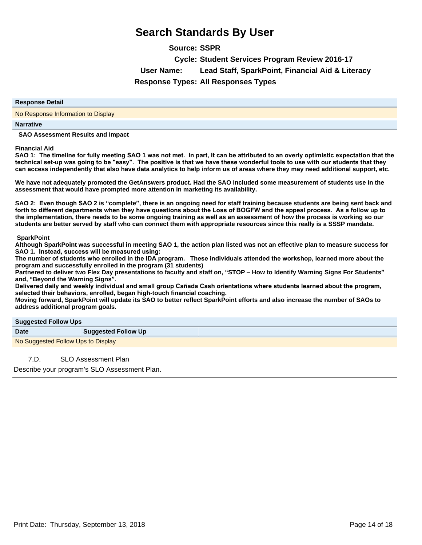**Source: SSPR**

**Cycle: Student Services Program Review 2016-17 User Name: Lead Staff, SparkPoint, Financial Aid & Literacy**

**Response Types: All Responses Types**

### **Response Detail**

No Response Information to Display

### **Narrative**

 **SAO Assessment Results and Impact**

### **Financial Aid**

SAO 1: The timeline for fully meeting SAO 1 was not met. In part, it can be attributed to an overly optimistic expectation that the technical set-up was going to be "easy". The positive is that we have these wonderful tools to use with our students that they **can access independently that also have data analytics to help inform us of areas where they may need additional support, etc.**

**We have not adequately promoted the GetAnswers product. Had the SAO included some measurement of students use in the assessment that would have prompted more attention in marketing its availability.** 

SAO 2: Even though SAO 2 is "complete", there is an ongoing need for staff training because students are being sent back and forth to different departments when they have questions about the Loss of BOGFW and the appeal process. As a follow up to **the implementation, there needs to be some ongoing training as well as an assessment of how the process is working so our students are better served by staff who can connect them with appropriate resources since this really is a SSSP mandate.**

### **SparkPoint**

**Although SparkPoint was successful in meeting SAO 1, the action plan listed was not an effective plan to measure success for SAO 1.** Instead, success will be measured using:

The number of students who enrolled in the IDA program. These individuals attended the workshop, learned more about the **program and successfully enrolled in the program (31 students)**

Partnered to deliver two Flex Day presentations to faculty and staff on, "STOP - How to Identify Warning Signs For Students" **and, ³Beyond the Warning Signs´**

Delivered daily and weekly individual and small group Cañada Cash orientations where students learned about the program, **selected their behaviors, enrolled, began high-touch financial coaching.** 

**Moving forward, SparkPoint will update its SAO to better reflect SparkPoint efforts and also increase the number of SAOs to address additional program goals.** 

| <b>Suggested Follow Ups</b> |  |  |
|-----------------------------|--|--|
|                             |  |  |

| . .                                |  |                            |
|------------------------------------|--|----------------------------|
| <b>Date</b>                        |  | <b>Suggested Follow Up</b> |
| No Suggested Follow Ups to Display |  |                            |

7.D. SLO Assessment Plan

Describe your program's SLO Assessment Plan.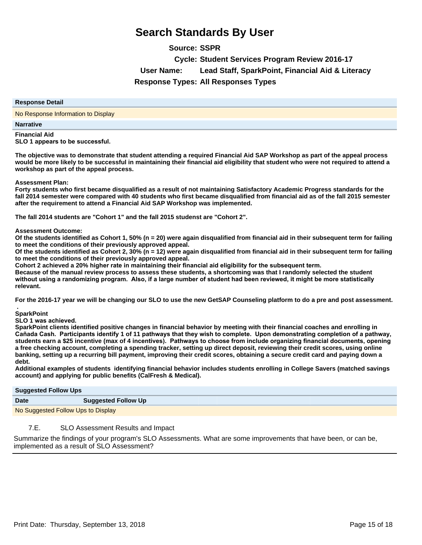**Source: SSPR**

**Cycle: Student Services Program Review 2016-17**

**User Name: Lead Staff, SparkPoint, Financial Aid & Literacy**

**Response Types: All Responses Types**

### **Response Detail**

No Response Information to Display

### **Narrative**

**Financial Aid SLO 1** appears to be successful.

**The objective was to demonstrate that student attending a required Financial Aid SAP Workshop as part of the appeal process would be more likely to be successful in maintaining their financial aid eligibility that student who were not required to attend a workshop as part of the appeal process.**

**Assessment Plan:**

**Forty students who first became disqualified as a result of not maintaining Satisfactory Academic Progress standards for the fall 2014 semester were compared with 40 students who first became disqualified from financial aid as of the fall 2015 semester after the requirement to attend a Financial Aid SAP Workshop was implemented.** 

**The fall 2014 students are "Cohort 1" and the fall 2015 studenst are "Cohort 2".**

### **Assessment Outcome:**

**Of the students identified as Cohort 1, 50% (n = 20) were again disqualified from financial aid in their subsequent term for failing to meet the conditions of their previously approved appeal.**

**Of the students identified as Cohort 2, 30% (n = 12) were again disqualified from financial aid in their subsequent term for failing to meet the conditions of their previously approved appeal.**

Cohort 2 achieved a 20% higher rate in maintaining their financial aid eligibility for the subsequent term.

**Because of the manual review process to assess these students, a shortcoming was that I randomly selected the student**  without using a randomizing program. Also, if a large number of student had been reviewed, it might be more statistically **relevant.**

**For the 2016-17 year we will be changing our SLO to use the new GetSAP Counseling platform to do a pre and post assessment.**

 **. SparkPoint**

**SLO 1** was achieved.

**SparkPoint clients identified positive changes in financial behavior by meeting with their financial coaches and enrolling in**  Cañada Cash. Participants identify 1 of 11 pathways that they wish to complete. Upon demonstrating completion of a pathway. students earn a \$25 incentive (max of 4 incentives). Pathways to choose from include organizing financial documents, opening **a free checking account, completing a spending tracker, setting up direct deposit, reviewing their credit scores, using online banking, setting up a recurring bill payment, improving their credit scores, obtaining a secure credit card and paying down a debt.**

**Additional examples of students identifying financial behavior includes students enrolling in College Savers (matched savings account) and applying for public benefits (CalFresh & Medical).** 

| <b>Suggested Follow Ups</b>        |                            |  |
|------------------------------------|----------------------------|--|
| <b>Date</b>                        | <b>Suggested Follow Up</b> |  |
| No Suggested Follow Ups to Display |                            |  |

# 7.E. SLO Assessment Results and Impact

Summarize the findings of your program's SLO Assessments. What are some improvements that have been, or can be, implemented as a result of SLO Assessment?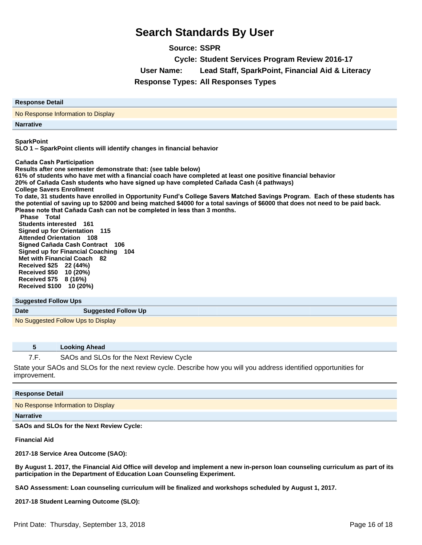**Source: SSPR**

**Cycle: Student Services Program Review 2016-17**

**User Name: Lead Staff, SparkPoint, Financial Aid & Literacy**

**Response Types: All Responses Types**

| <b>Response Detail</b>             |  |  |
|------------------------------------|--|--|
| No Response Information to Display |  |  |
| <b>Narrative</b>                   |  |  |

**SparkPoint**

**SLO 1±SparkPoint clients will identify changes in financial behavior**

**Cañada Cash Participation** 

**Results after one semester demonstrate that: (see table below) 61% of students who have met with a financial coach have completed at least one positive financial behavior 20%** of Cañada Cash students who have signed up have completed Cañada Cash (4 pathways) **College Savers Enrollment** To date, 31 students have enrolled in Opportunity Fund's College Savers Matched Savings Program. Each of these students has **the potential of saving up to \$2000 and being matched \$4000 for a total savings of \$6000 that does not need to be paid back. Please note that Cañada Cash can not be completed in less than 3 months. Phase Total Students interested 161 Signed up for Orientation 115 Attended Orientation 108** 

**Signed Cañada Cash Contract 106 Signed up for Financial Coaching 104 Met with Financial Coach 82 Received \$25 22 (44%) Received \$50 10 (20%) Received \$75 8 (16%) Received \$100 10 (20%)**

### **Suggested Follow Ups**

**Date Suggested Follow Up** 

No Suggested Follow Ups to Display

### **5 Looking Ahead**

7.F. SAOs and SLOs for the Next Review Cycle

State your SAOs and SLOs for the next review cycle. Describe how you will you address identified opportunities for improvement.

# **Response Detail** No Response Information to Display

### **Narrative**

**SAOs and SLOs for the Next Review Cycle:**

**Financial Aid**

**2017-18 Service Area Outcome (SAO):**

**By August 1. 2017, the Financial Aid Office will develop and implement a new in-person loan counseling curriculum as part of its participation in the Department of Education Loan Counseling Experiment.**

**SAO Assessment: Loan counseling curriculum will be finalized and workshops scheduled by August 1, 2017.**

**2017-18 Student Learning Outcome (SLO):**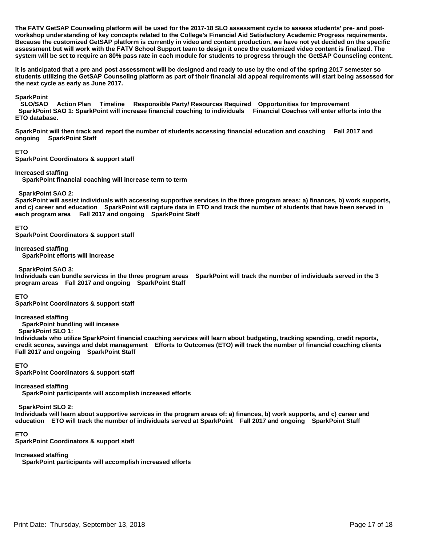**The FATV GetSAP Counseling platform will be used for the 2017-18 SLO assessment cycle to assess students' pre- and postworkshop understanding of key concepts related to the College's Financial Aid Satisfactory Academic Progress requirements. Because the customized GetSAP platform is currently in video and content production, we have not yet decided on the specific**  assessment but will work with the FATV School Support team to design it once the customized video content is finalized. The **system will be set to require an 80% pass rate in each module for students to progress through the GetSAP Counseling content.**

It is anticipated that a pre and post assessment will be designed and ready to use by the end of the spring 2017 semester so students utilizing the GetSAP Counseling platform as part of their financial aid appeal requirements will start being assessed for **the next cycle as early as June 2017.**

### **SparkPoint**

 **SLO/SAO Action Plan Timeline Responsible Party/ Resources Required Opportunities for Improvement SparkPoint SAO 1: SparkPoint will increase financial coaching to individuals Financial Coaches will enter efforts into the ETO database.** 

**SparkPoint will then track and report the number of students accessing financial education and coaching Fall 2017 and ongoing SparkPoint Staff** 

**ETO** 

**SparkPoint Coordinators & support staff** 

**Increased staffing** 

 **SparkPoint financial coaching will increase term to term** 

 **SparkPoint SAO 2:** 

**SparkPoint will assist individuals with accessing supportive services in the three program areas: a) finances, b) work supports, and c) career and education SparkPoint will capture data in ETO and track the number of students that have been served in each program area Fall 2017 and ongoing SparkPoint Staff** 

### **ETO**

**SparkPoint Coordinators & support staff** 

**Increased staffing** 

 **SparkPoint efforts will increase** 

 **SparkPoint SAO 3:** 

**Individuals can bundle services in the three program areas SparkPoint will track the number of individuals served in the 3 program areas Fall 2017 and ongoing SparkPoint Staff** 

**ETO** 

**SparkPoint Coordinators & support staff** 

**Increased staffing** 

 **SparkPoint bundling will incease** 

 **SparkPoint SLO 1:** 

**Individuals who utilize SparkPoint financial coaching services will learn about budgeting, tracking spending, credit reports, credit scores, savings and debt management Efforts to Outcomes (ETO) will track the number of financial coaching clients Fall 2017 and ongoing SparkPoint Staff** 

### **ETO**

**SparkPoint Coordinators & support staff** 

**Increased staffing** 

 **SparkPoint participants will accomplish increased efforts** 

 **SparkPoint SLO 2:** 

**Individuals will learn about supportive services in the program areas of: a) finances, b) work supports, and c) career and education ETO will track the number of individuals served at SparkPoint Fall 2017 and ongoing SparkPoint Staff** 

### **ETO**

**SparkPoint Coordinators & support staff** 

### **Increased staffing**

 **SparkPoint participants will accomplish increased efforts**